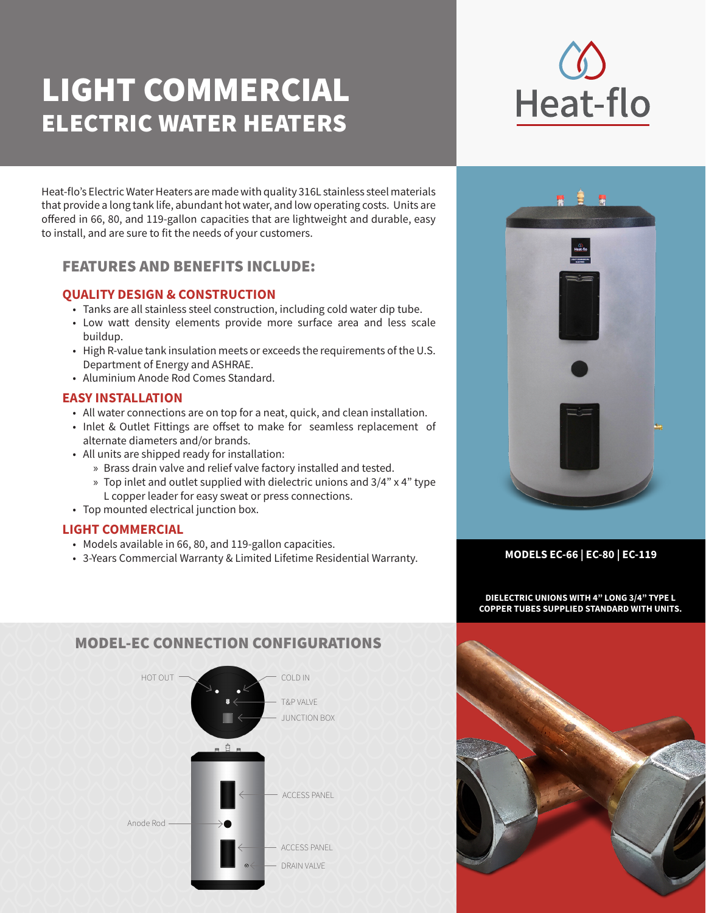# LIGHT COMMERCIAL ELECTRIC WATER HEATERS

Heat-flo's Electric Water Heaters are made with quality 316L stainless steel materials that provide a long tank life, abundant hot water, and low operating costs. Units are offered in 66, 80, and 119-gallon capacities that are lightweight and durable, easy to install, and are sure to fit the needs of your customers.

## FEATURES AND BENEFITS INCLUDE:

## **QUALITY DESIGN & CONSTRUCTION**

- Tanks are all stainless steel construction, including cold water dip tube.
- Low watt density elements provide more surface area and less scale buildup.
- High R-value tank insulation meets or exceeds the requirements of the U.S. Department of Energy and ASHRAE.
- Aluminium Anode Rod Comes Standard.

## **EASY INSTALLATION**

- All water connections are on top for a neat, quick, and clean installation.
- Inlet & Outlet Fittings are offset to make for seamless replacement of alternate diameters and/or brands.
- All units are shipped ready for installation:
	- » Brass drain valve and relief valve factory installed and tested.
	- » Top inlet and outlet supplied with dielectric unions and 3/4" x 4" type L copper leader for easy sweat or press connections.
- Top mounted electrical junction box.

## **LIGHT COMMERCIAL**

- Models available in 66, 80, and 119-gallon capacities.
- 3-Years Commercial Warranty & Limited Lifetime Residential Warranty. **MODELS EC-66 | EC-80 | EC-119**





**DIELECTRIC UNIONS WITH 4" LONG 3/4" TYPE L COPPER TUBES SUPPLIED STANDARD WITH UNITS.**



## MODEL-EC CONNECTION CONFIGURATIONS